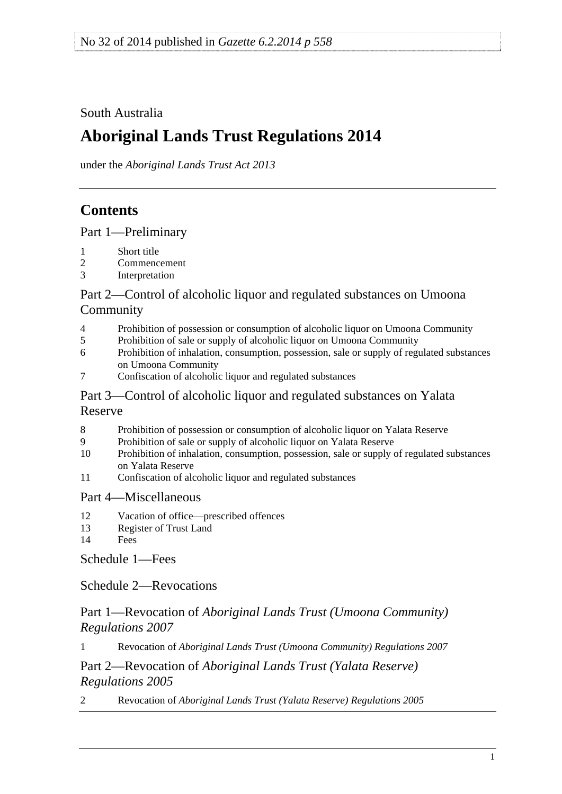<span id="page-0-0"></span>South Australia

# **Aboriginal Lands Trust Regulations 2014**

under the *Aboriginal Lands Trust Act 2013*

# **Contents**

[Part 1—Preliminary](#page-1-0)

- [1 Short title](#page-1-0)
- [2 Commencement](#page-1-0)
- [3 Interpretation](#page-1-0)

### [Part 2—Control of alcoholic liquor and regulated substances on Umoona](#page-1-0)  [Community](#page-1-0)

- [4 Prohibition of possession or consumption of alcoholic liquor on Umoona Community](#page-1-0)
- [5 Prohibition of sale or supply of alcoholic liquor on Umoona Community](#page-2-0)
- [6 Prohibition of inhalation, consumption, possession, sale or supply of regulated substances](#page-2-0)  [on Umoona Community](#page-2-0)
- [7 Confiscation of alcoholic liquor and regulated substances](#page-2-0)

### [Part 3—Control of alcoholic liquor and regulated substances on Yalata](#page-3-0)  [Reserve](#page-3-0)

- [8 Prohibition of possession or consumption of alcoholic liquor on Yalata Reserve](#page-3-0)
- [9 Prohibition of sale or supply of alcoholic liquor on Yalata Reserve](#page-3-0)
- [10 Prohibition of inhalation, consumption, possession, sale or supply of regulated substances](#page-3-0)  [on Yalata Reserve](#page-3-0)
- [11 Confiscation of alcoholic liquor and regulated substances](#page-4-0)

### [Part 4—Miscellaneous](#page-4-0)

- [12 Vacation of office—prescribed offences](#page-4-0)
- [13 Register of Trust Land](#page-4-0)
- [14 Fees](#page-5-0)

[Schedule 1—Fees](#page-5-0) 

[Schedule 2—Revocations](#page-5-0)

### Part 1—Revocation of *[Aboriginal Lands Trust \(Umoona Community\)](#page-0-0)  [Regulations 2007](#page-0-0)*

1 Revocation of *[Aboriginal Lands Trust \(Umoona Community\) Regulations 2007](#page-5-0)*

### Part 2—Revocation of *[Aboriginal Lands Trust \(Yalata Reserve\)](#page-0-0)  [Regulations 2005](#page-0-0)*

2 Revocation of *[Aboriginal Lands Trust \(Yalata Reserve\) Regulations 2005](#page-5-0)*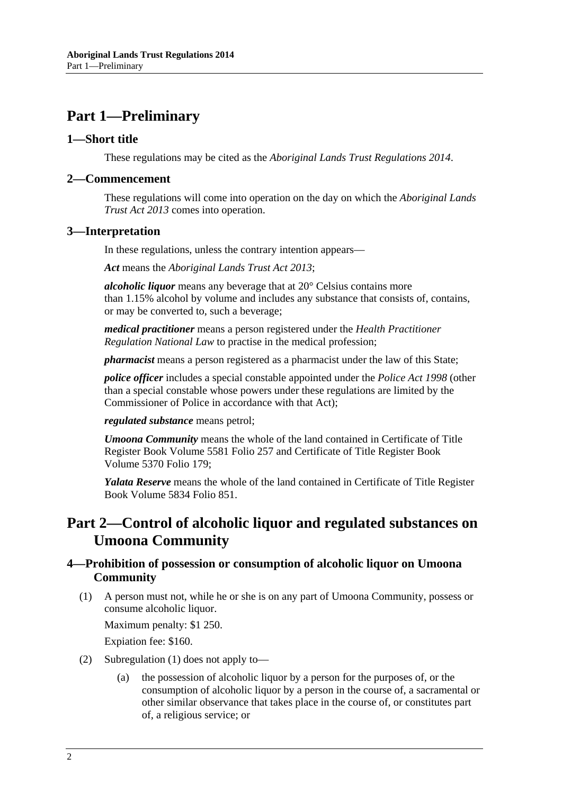# <span id="page-1-0"></span>**Part 1—Preliminary**

#### **1—Short title**

These regulations may be cited as the *Aboriginal Lands Trust Regulations 2014*.

#### **2—Commencement**

These regulations will come into operation on the day on which the *[Aboriginal Lands](http://www.legislation.sa.gov.au/index.aspx?action=legref&type=act&legtitle=Aboriginal%20Lands%20Trust%20Act%202013)  [Trust Act 2013](http://www.legislation.sa.gov.au/index.aspx?action=legref&type=act&legtitle=Aboriginal%20Lands%20Trust%20Act%202013)* comes into operation.

#### **3—Interpretation**

In these regulations, unless the contrary intention appears—

*Act* means the *[Aboriginal Lands Trust Act 2013](http://www.legislation.sa.gov.au/index.aspx?action=legref&type=act&legtitle=Aboriginal%20Lands%20Trust%20Act%202013)*;

*alcoholic liquor* means any beverage that at 20° Celsius contains more than 1.15% alcohol by volume and includes any substance that consists of, contains, or may be converted to, such a beverage;

*medical practitioner* means a person registered under the *Health Practitioner Regulation National Law* to practise in the medical profession;

*pharmacist* means a person registered as a pharmacist under the law of this State;

*police officer* includes a special constable appointed under the *[Police Act 1998](http://www.legislation.sa.gov.au/index.aspx?action=legref&type=act&legtitle=Police%20Act%201998)* (other than a special constable whose powers under these regulations are limited by the Commissioner of Police in accordance with that Act);

*regulated substance* means petrol;

*Umoona Community* means the whole of the land contained in Certificate of Title Register Book Volume 5581 Folio 257 and Certificate of Title Register Book Volume 5370 Folio 179;

*Yalata Reserve* means the whole of the land contained in Certificate of Title Register Book Volume 5834 Folio 851.

# **Part 2—Control of alcoholic liquor and regulated substances on Umoona Community**

#### **4—Prohibition of possession or consumption of alcoholic liquor on Umoona Community**

 (1) A person must not, while he or she is on any part of Umoona Community, possess or consume alcoholic liquor.

Maximum penalty: \$1 250.

Expiation fee: \$160.

- (2) [Subregulation \(1\)](#page-1-0) does not apply to—
	- (a) the possession of alcoholic liquor by a person for the purposes of, or the consumption of alcoholic liquor by a person in the course of, a sacramental or other similar observance that takes place in the course of, or constitutes part of, a religious service; or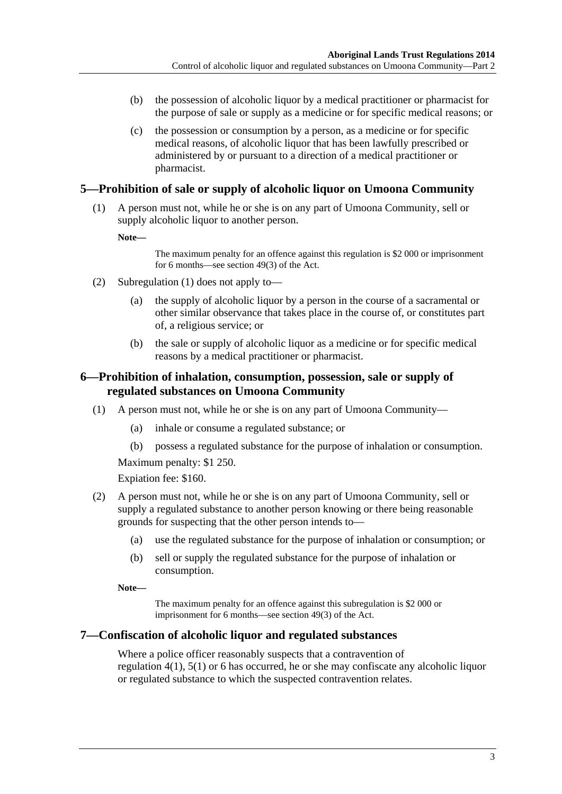- <span id="page-2-0"></span> (b) the possession of alcoholic liquor by a medical practitioner or pharmacist for the purpose of sale or supply as a medicine or for specific medical reasons; or
- (c) the possession or consumption by a person, as a medicine or for specific medical reasons, of alcoholic liquor that has been lawfully prescribed or administered by or pursuant to a direction of a medical practitioner or pharmacist.

#### **5—Prohibition of sale or supply of alcoholic liquor on Umoona Community**

 (1) A person must not, while he or she is on any part of Umoona Community, sell or supply alcoholic liquor to another person.

**Note—** 

The maximum penalty for an offence against this regulation is \$2 000 or imprisonment for 6 months—see section 49(3) of the Act.

- (2) [Subregulation \(1\)](#page-2-0) does not apply to—
	- (a) the supply of alcoholic liquor by a person in the course of a sacramental or other similar observance that takes place in the course of, or constitutes part of, a religious service; or
	- (b) the sale or supply of alcoholic liquor as a medicine or for specific medical reasons by a medical practitioner or pharmacist.

#### **6—Prohibition of inhalation, consumption, possession, sale or supply of regulated substances on Umoona Community**

- (1) A person must not, while he or she is on any part of Umoona Community—
	- (a) inhale or consume a regulated substance; or
	- (b) possess a regulated substance for the purpose of inhalation or consumption.

Maximum penalty: \$1 250.

Expiation fee: \$160.

- (2) A person must not, while he or she is on any part of Umoona Community, sell or supply a regulated substance to another person knowing or there being reasonable grounds for suspecting that the other person intends to—
	- (a) use the regulated substance for the purpose of inhalation or consumption; or
	- (b) sell or supply the regulated substance for the purpose of inhalation or consumption.

**Note—** 

The maximum penalty for an offence against this subregulation is \$2 000 or imprisonment for 6 months—see section 49(3) of the Act.

#### **7—Confiscation of alcoholic liquor and regulated substances**

Where a police officer reasonably suspects that a contravention of [regulation 4\(1\),](#page-1-0) [5\(1\)](#page-2-0) or [6](#page-2-0) has occurred, he or she may confiscate any alcoholic liquor or regulated substance to which the suspected contravention relates.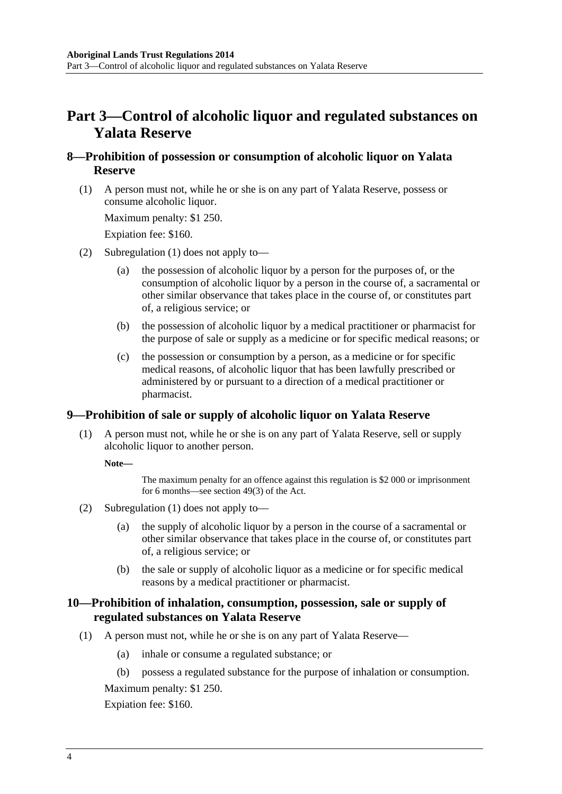# <span id="page-3-0"></span>**Part 3—Control of alcoholic liquor and regulated substances on Yalata Reserve**

#### **8—Prohibition of possession or consumption of alcoholic liquor on Yalata Reserve**

 (1) A person must not, while he or she is on any part of Yalata Reserve, possess or consume alcoholic liquor.

Maximum penalty: \$1 250.

Expiation fee: \$160.

- (2) [Subregulation \(1\)](#page-3-0) does not apply to—
	- (a) the possession of alcoholic liquor by a person for the purposes of, or the consumption of alcoholic liquor by a person in the course of, a sacramental or other similar observance that takes place in the course of, or constitutes part of, a religious service; or
	- (b) the possession of alcoholic liquor by a medical practitioner or pharmacist for the purpose of sale or supply as a medicine or for specific medical reasons; or
	- (c) the possession or consumption by a person, as a medicine or for specific medical reasons, of alcoholic liquor that has been lawfully prescribed or administered by or pursuant to a direction of a medical practitioner or pharmacist.

#### **9—Prohibition of sale or supply of alcoholic liquor on Yalata Reserve**

 (1) A person must not, while he or she is on any part of Yalata Reserve, sell or supply alcoholic liquor to another person.

**Note—** 

The maximum penalty for an offence against this regulation is \$2 000 or imprisonment for 6 months—see section 49(3) of the Act.

- (2) [Subregulation \(1\)](#page-3-0) does not apply to—
	- (a) the supply of alcoholic liquor by a person in the course of a sacramental or other similar observance that takes place in the course of, or constitutes part of, a religious service; or
	- (b) the sale or supply of alcoholic liquor as a medicine or for specific medical reasons by a medical practitioner or pharmacist.

#### **10—Prohibition of inhalation, consumption, possession, sale or supply of regulated substances on Yalata Reserve**

- (1) A person must not, while he or she is on any part of Yalata Reserve—
	- (a) inhale or consume a regulated substance; or
	- (b) possess a regulated substance for the purpose of inhalation or consumption.

Maximum penalty: \$1 250.

Expiation fee: \$160.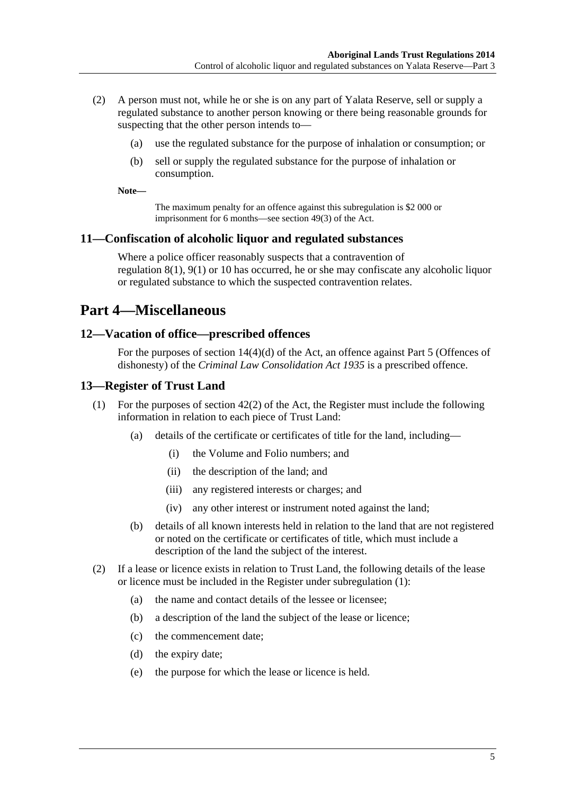- <span id="page-4-0"></span> (2) A person must not, while he or she is on any part of Yalata Reserve, sell or supply a regulated substance to another person knowing or there being reasonable grounds for suspecting that the other person intends to—
	- (a) use the regulated substance for the purpose of inhalation or consumption; or
	- (b) sell or supply the regulated substance for the purpose of inhalation or consumption.

**Note—** 

The maximum penalty for an offence against this subregulation is \$2 000 or imprisonment for 6 months—see section 49(3) of the Act.

#### **11—Confiscation of alcoholic liquor and regulated substances**

Where a police officer reasonably suspects that a contravention of [regulation 8\(1\), 9\(1\)](#page-3-0) or [10](#page-3-0) has occurred, he or she may confiscate any alcoholic liquor or regulated substance to which the suspected contravention relates.

# **Part 4—Miscellaneous**

#### **12—Vacation of office—prescribed offences**

For the purposes of section 14(4)(d) of the Act, an offence against Part 5 (Offences of dishonesty) of the *[Criminal Law Consolidation Act 1935](http://www.legislation.sa.gov.au/index.aspx?action=legref&type=act&legtitle=Criminal%20Law%20Consolidation%20Act%201935)* is a prescribed offence.

#### **13—Register of Trust Land**

- (1) For the purposes of section 42(2) of the Act, the Register must include the following information in relation to each piece of Trust Land:
	- (a) details of the certificate or certificates of title for the land, including—
		- (i) the Volume and Folio numbers; and
		- (ii) the description of the land; and
		- (iii) any registered interests or charges; and
		- (iv) any other interest or instrument noted against the land;
	- (b) details of all known interests held in relation to the land that are not registered or noted on the certificate or certificates of title, which must include a description of the land the subject of the interest.
- (2) If a lease or licence exists in relation to Trust Land, the following details of the lease or licence must be included in the Register under [subregulation \(1\)](#page-4-0):
	- (a) the name and contact details of the lessee or licensee;
	- (b) a description of the land the subject of the lease or licence;
	- (c) the commencement date;
	- (d) the expiry date;
	- (e) the purpose for which the lease or licence is held.